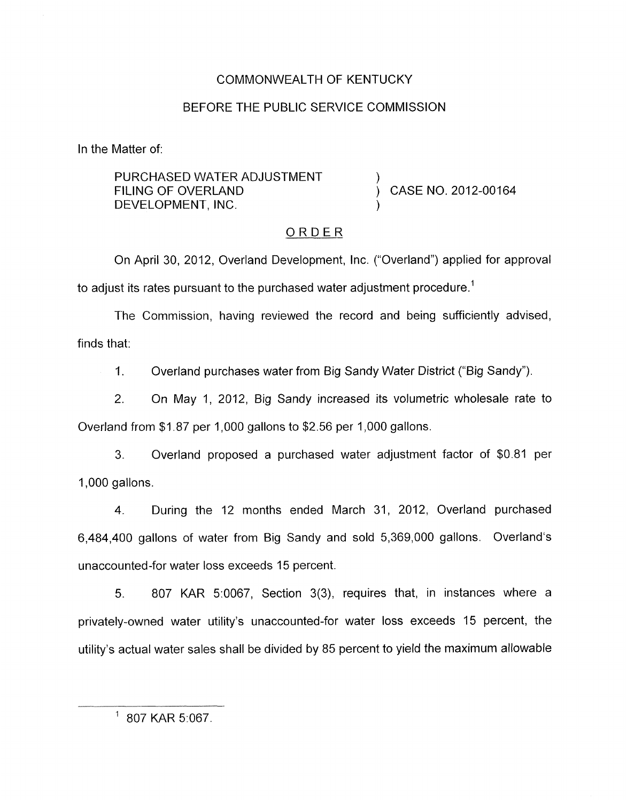## COMMONWEALTH OF KENTUCKY

## BEFORE THE PUBLIC SERVICE COMMISSION

In the Matter of:

PURCHASED WATER ADJUSTMENT<br>FILING OF OVERLAND DEVELOPMENT, INC.

CASE NO. 2012-00164

## ORDER

On April 30, 2012, Overland Development, Inc. ("Overland") applied for approval to adjust its rates pursuant to the purchased water adjustment procedure.<sup>1</sup>

The Commission, having reviewed the record and being sufficiently advised, finds that:

1. Overland purchases water from Big Sandy Water District ("Big Sandy").

2. On May 1, 2012, Big Sandy increased its volumetric wholesale rate to Overland from  $$1.87$  per 1,000 gallons to  $$2.56$  per 1,000 gallons.

**3.** Overland proposed a purchased water adjustment factor of \$0.81 per 1,000 gallons.

4. During the 12 months ended March 31, 2012, Overland purchased 6,484,400 gallons of water from Big Sandy and sold 5,369,000 gallons. Overland's unaccounted-for water loss exceeds 15 percent.

5. 807 KAR 5:0067, Section 3(3), requires that, in instances where a privately-owned water utility's unaccounted-for water loss exceeds 15 percent, the utility's actual water sales shall be divided by 85 percent to yield the maximum allowable

 $1807$  KAR 5:067.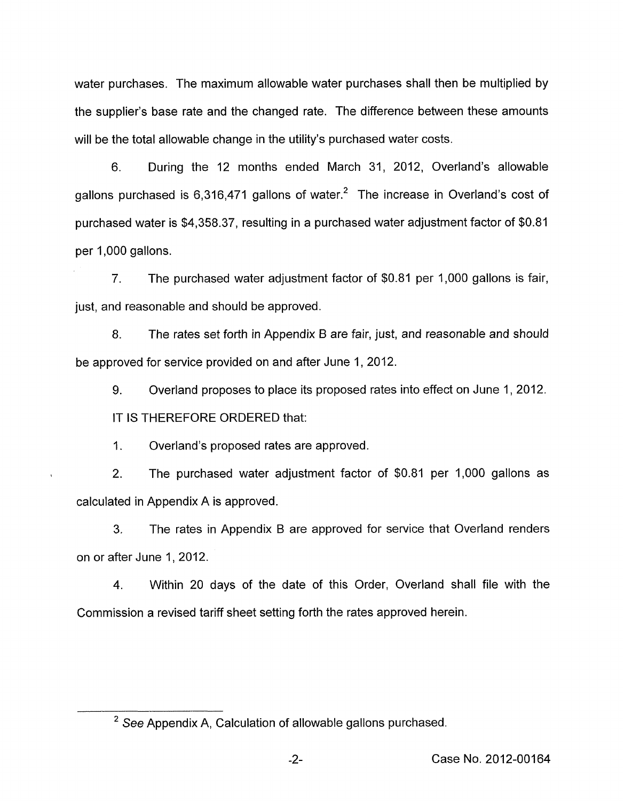water purchases. The maximum allowable water purchases shall then be multiplied by the supplier's base rate and the changed rate. The difference between these amounts will be the total allowable change in the utility's purchased water costs.

6. During the 12 months ended March 31, 2012, Overland's allowable gallons purchased is 6,316,471 gallons of water.<sup>2</sup> The increase in Overland's cost of purchased water is \$4,358.37, resulting in a purchased water adjustment factor of \$0.81 per 1,000 gallons.

7. The purchased water adjustment factor of \$0.81 per 1,000 gallons is fair, just, and reasonable and should be approved.

8. The rates set forth in Appendix B are fair, just, and reasonable and should be approved for service provided on and after June 1,2012.

9. IT **IS** THEREFORE ORDERED that: Overland proposes to place its proposed rates into effect on June 1, 2012.

1. Overland's proposed rates are approved.

2. The purchased water adjustment factor of \$0.81 per 1,000 gallons as calculated in Appendix A is approved.

3. The rates in Appendix B are approved for service that Overland renders on or after June 1,2012.

4. Within 20 days of the date of this Order, Overland shall file with the Commission a revised tariff sheet setting forth the rates approved herein.

<sup>&</sup>lt;sup>2</sup> See Appendix A, Calculation of allowable gallons purchased.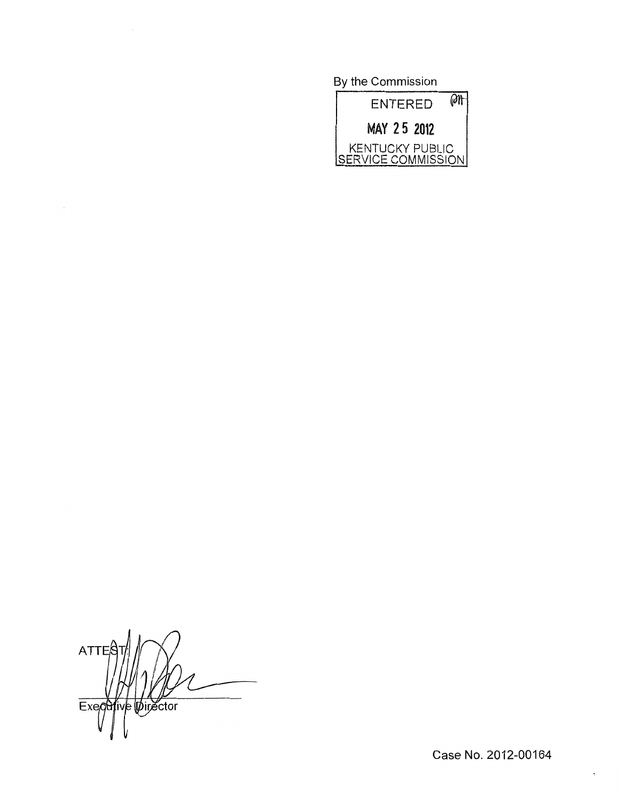By the Commission



 $ATTE<sub>5</sub>$ Executive Director

 $\ddot{\phantom{0}}$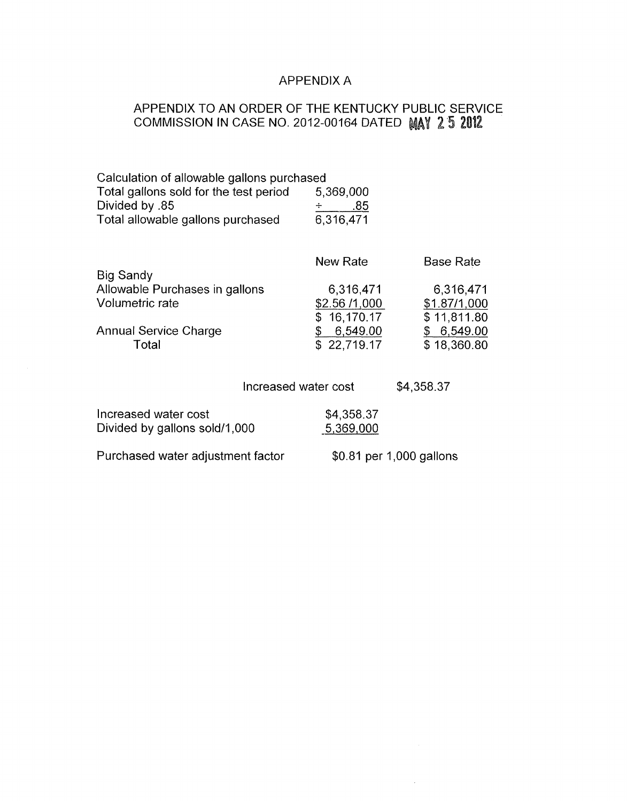# APPENDIX A

# APPENDIX TO AN ORDER OF THE KENTUCKY PUBLIC SERVICE COMMISSION IN CASE NO. 2012-00164 DATED MAY 2 5 2012

| Calculation of allowable gallons purchased |           |
|--------------------------------------------|-----------|
| Total gallons sold for the test period     | 5,369,000 |
| Divided by .85                             | .85       |
| Total allowable gallons purchased          | 6,316,471 |

|                                | New Rate      | <b>Base Rate</b> |
|--------------------------------|---------------|------------------|
| <b>Big Sandy</b>               |               |                  |
| Allowable Purchases in gallons | 6,316,471     | 6,316,471        |
| Volumetric rate                | \$2.56 /1,000 | \$1.87/1,000     |
|                                | \$16,170.17   | \$11,811.80      |
| <b>Annual Service Charge</b>   | 6,549.00      | 6,549.00         |
| Total                          | \$22,719.17   | \$18,360.80      |
|                                |               |                  |

Increased water cost  $$4,358.37$ 

 $\sim$ 

| Increased water cost              | \$4,358.37               |
|-----------------------------------|--------------------------|
| Divided by gallons sold/1,000     | 5,369,000                |
| Purchased water adjustment factor | \$0.81 per 1,000 gallons |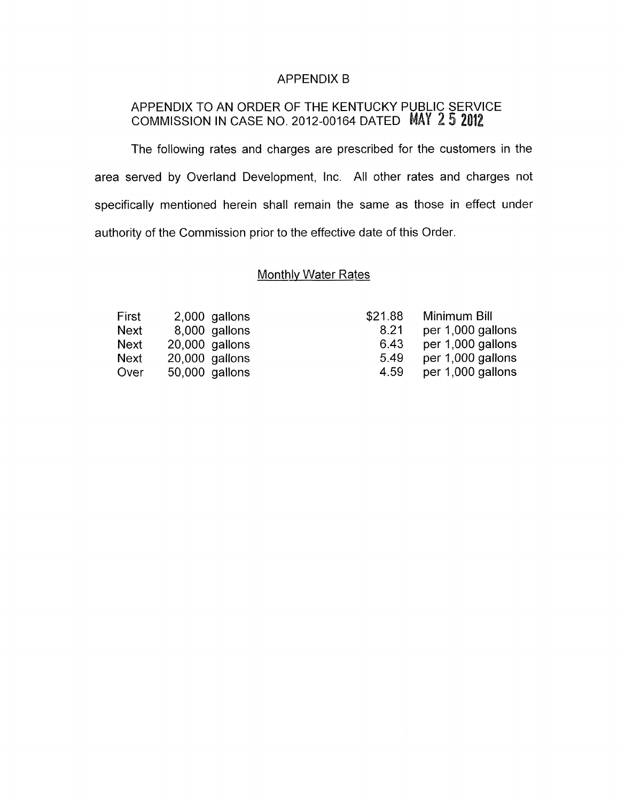#### APPENDIX B

## APPENDIX TO AN ORDER OF THE KENTUCKY PUBLIC SERVICE COMMISSION IN CASE NO. 2012-00164 DATED

The following rates and charges are prescribed for the customers in the area served by Overland Development, Inc. All other rates and charges not specifically mentioned herein shall remain the same as those in effect under authority of the Commission prior to the effective date of this Order.

## Monthly Water Rates

| First | 2.000 gallons  |
|-------|----------------|
| Next  | 8,000 gallons  |
| Next  | 20,000 gallons |
| Next  | 20,000 gallons |
| Over  | 50,000 gallons |

| \$21.88 | Minimum Bill      |
|---------|-------------------|
| 8.21    | per 1,000 gallons |
| 6.43    | per 1,000 gallons |
| 5.49    | per 1,000 gallons |
| 4.59    | per 1,000 gallons |